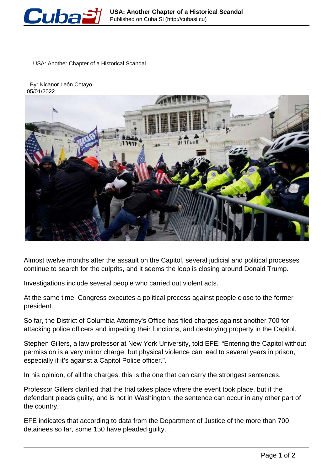

USA: Another Chapter of a Historical Scandal

 By: Nicanor León Cotayo 05/01/2022



Almost twelve months after the assault on the Capitol, several judicial and political processes continue to search for the culprits, and it seems the loop is closing around Donald Trump.

Investigations include several people who carried out violent acts.

At the same time, Congress executes a political process against people close to the former president.

So far, the District of Columbia Attorney's Office has filed charges against another 700 for attacking police officers and impeding their functions, and destroying property in the Capitol.

Stephen Gillers, a law professor at New York University, told EFE: "Entering the Capitol without permission is a very minor charge, but physical violence can lead to several years in prison, especially if it's against a Capitol Police officer.".

In his opinion, of all the charges, this is the one that can carry the strongest sentences.

Professor Gillers clarified that the trial takes place where the event took place, but if the defendant pleads guilty, and is not in Washington, the sentence can occur in any other part of the country.

EFE indicates that according to data from the Department of Justice of the more than 700 detainees so far, some 150 have pleaded guilty.